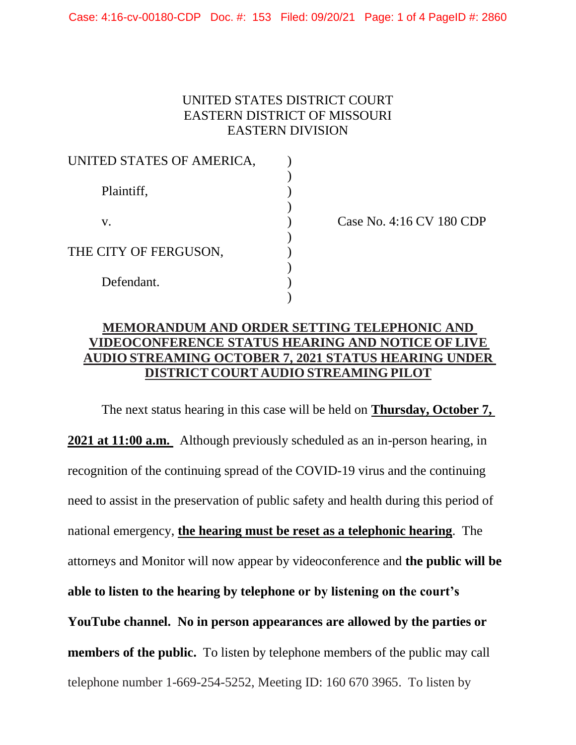Case: 4:16-cv-00180-CDP Doc. #: 153 Filed: 09/20/21 Page: 1 of 4 PageID #: 2860

## UNITED STATES DISTRICT COURT EASTERN DISTRICT OF MISSOURI EASTERN DIVISION

| UNITED STATES OF AMERICA, |  |
|---------------------------|--|
| Plaintiff,                |  |
|                           |  |
| V.                        |  |
| THE CITY OF FERGUSON,     |  |
| Defendant.                |  |
|                           |  |

Case No. 4:16 CV 180 CDP

## **MEMORANDUM AND ORDER SETTING TELEPHONIC AND VIDEOCONFERENCE STATUS HEARING AND NOTICE OF LIVE AUDIO STREAMING OCTOBER 7, 2021 STATUS HEARING UNDER DISTRICT COURT AUDIO STREAMING PILOT**

The next status hearing in this case will be held on **Thursday, October 7, 2021 at 11:00 a.m.** Although previously scheduled as an in-person hearing, in recognition of the continuing spread of the COVID-19 virus and the continuing need to assist in the preservation of public safety and health during this period of national emergency, **the hearing must be reset as a telephonic hearing**. The attorneys and Monitor will now appear by videoconference and **the public will be able to listen to the hearing by telephone or by listening on the court's YouTube channel. No in person appearances are allowed by the parties or members of the public.** To listen by telephone members of the public may call telephone number 1-669-254-5252, Meeting ID: 160 670 3965. To listen by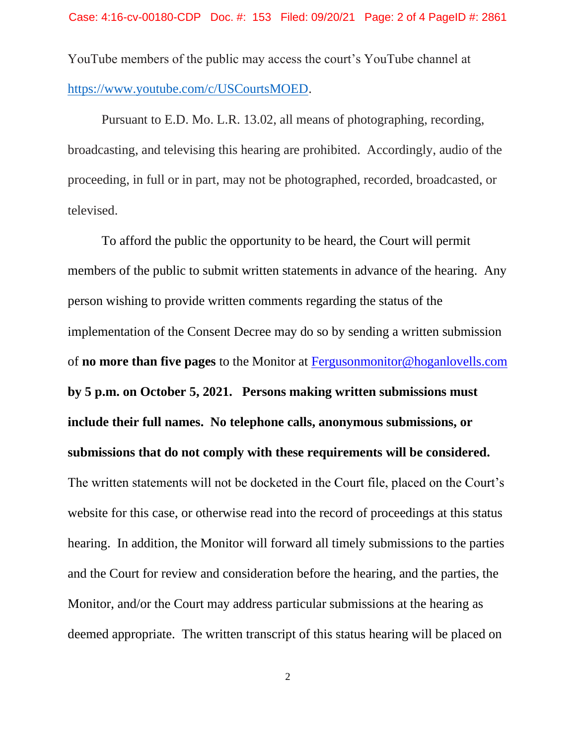YouTube members of the public may access the court's YouTube channel at [https://www.youtube.com/c/USCourtsMOED.](https://www.youtube.com/c/USCourtsMOED)

Pursuant to E.D. Mo. L.R. 13.02, all means of photographing, recording, broadcasting, and televising this hearing are prohibited. Accordingly, audio of the proceeding, in full or in part, may not be photographed, recorded, broadcasted, or televised.

To afford the public the opportunity to be heard, the Court will permit members of the public to submit written statements in advance of the hearing. Any person wishing to provide written comments regarding the status of the implementation of the Consent Decree may do so by sending a written submission of **no more than five pages** to the Monitor at [Fergusonmonitor@hoganlovells.com](mailto:Fergusonmonitor@hoganlovells.com) **by 5 p.m. on October 5, 2021. Persons making written submissions must include their full names. No telephone calls, anonymous submissions, or submissions that do not comply with these requirements will be considered.** The written statements will not be docketed in the Court file, placed on the Court's website for this case, or otherwise read into the record of proceedings at this status hearing. In addition, the Monitor will forward all timely submissions to the parties and the Court for review and consideration before the hearing, and the parties, the Monitor, and/or the Court may address particular submissions at the hearing as deemed appropriate. The written transcript of this status hearing will be placed on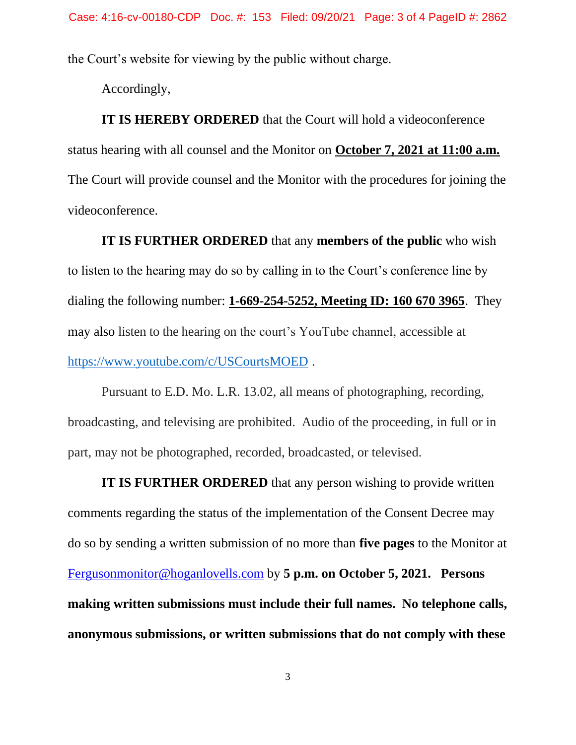the Court's website for viewing by the public without charge.

Accordingly,

**IT IS HEREBY ORDERED** that the Court will hold a videoconference status hearing with all counsel and the Monitor on **October 7, 2021 at 11:00 a.m.** The Court will provide counsel and the Monitor with the procedures for joining the videoconference.

**IT IS FURTHER ORDERED** that any **members of the public** who wish to listen to the hearing may do so by calling in to the Court's conference line by dialing the following number: **1-669-254-5252, Meeting ID: 160 670 3965**. They may also listen to the hearing on the court's YouTube channel, accessible at <https://www.youtube.com/c/USCourtsMOED> .

Pursuant to E.D. Mo. L.R. 13.02, all means of photographing, recording, broadcasting, and televising are prohibited. Audio of the proceeding, in full or in part, may not be photographed, recorded, broadcasted, or televised.

**IT IS FURTHER ORDERED** that any person wishing to provide written comments regarding the status of the implementation of the Consent Decree may do so by sending a written submission of no more than **five pages** to the Monitor at [Fergusonmonitor@hoganlovells.com](mailto:Fergusonmonitor@hoganlovells.com) by **5 p.m. on October 5, 2021. Persons making written submissions must include their full names. No telephone calls, anonymous submissions, or written submissions that do not comply with these**